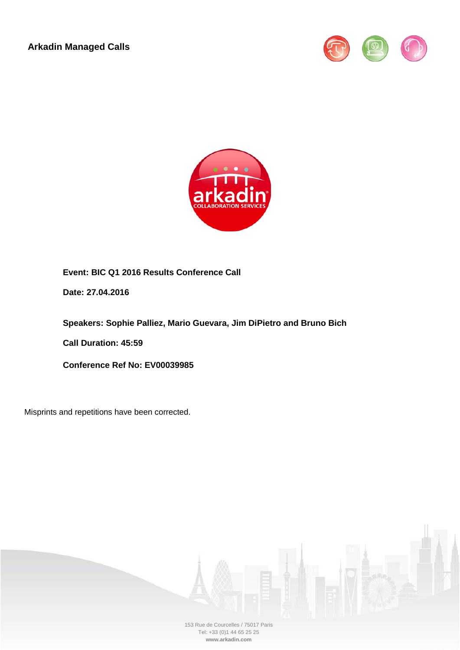**Arkadin Managed Calls**





# **Event: BIC Q1 2016 Results Conference Call**

**Date: 27.04.2016**

**Speakers: Sophie Palliez, Mario Guevara, Jim DiPietro and Bruno Bich**

**Call Duration: 45:59**

**Conference Ref No: EV00039985**

Misprints and repetitions have been corrected.



153 Rue de Courcelles / 75017 Paris Tel: +33 (0)1 44 65 25 25 **www.arkadin.com**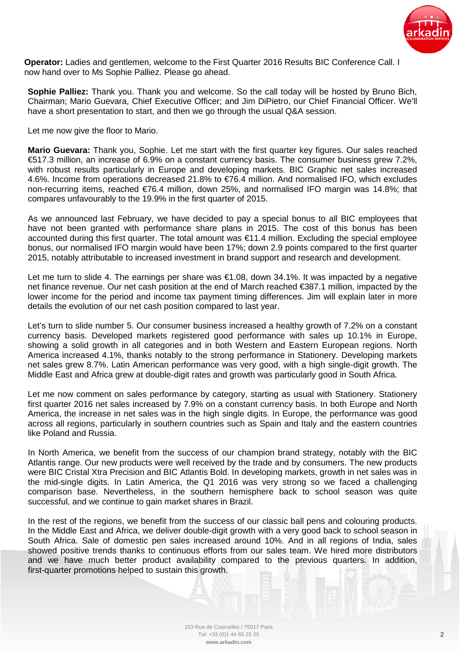

**Operator:** Ladies and gentlemen, welcome to the First Quarter 2016 Results BIC Conference Call. I now hand over to Ms Sophie Palliez. Please go ahead.

**Sophie Palliez:** Thank you. Thank you and welcome. So the call today will be hosted by Bruno Bich, Chairman; Mario Guevara, Chief Executive Officer; and Jim DiPietro, our Chief Financial Officer. We'll have a short presentation to start, and then we go through the usual Q&A session.

Let me now give the floor to Mario.

**Mario Guevara:** Thank you, Sophie. Let me start with the first quarter key figures. Our sales reached €517.3 million, an increase of 6.9% on a constant currency basis. The consumer business grew 7.2%, with robust results particularly in Europe and developing markets. BIC Graphic net sales increased 4.6%. Income from operations decreased 21.8% to €76.4 million. And normalised IFO, which excludes non-recurring items, reached €76.4 million, down 25%, and normalised IFO margin was 14.8%; that compares unfavourably to the 19.9% in the first quarter of 2015.

As we announced last February, we have decided to pay a special bonus to all BIC employees that have not been granted with performance share plans in 2015. The cost of this bonus has been accounted during this first quarter. The total amount was €11.4 million. Excluding the special employee bonus, our normalised IFO margin would have been 17%; down 2.9 points compared to the first quarter 2015, notably attributable to increased investment in brand support and research and development.

Let me turn to slide 4. The earnings per share was  $\epsilon$ 1.08, down 34.1%. It was impacted by a negative net finance revenue. Our net cash position at the end of March reached €387.1 million, impacted by the lower income for the period and income tax payment timing differences. Jim will explain later in more details the evolution of our net cash position compared to last year.

Let's turn to slide number 5. Our consumer business increased a healthy growth of 7.2% on a constant currency basis. Developed markets registered good performance with sales up 10.1% in Europe, showing a solid growth in all categories and in both Western and Eastern European regions. North America increased 4.1%, thanks notably to the strong performance in Stationery. Developing markets net sales grew 8.7%. Latin American performance was very good, with a high single-digit growth. The Middle East and Africa grew at double-digit rates and growth was particularly good in South Africa.

Let me now comment on sales performance by category, starting as usual with Stationery. Stationery first quarter 2016 net sales increased by 7.9% on a constant currency basis. In both Europe and North America, the increase in net sales was in the high single digits. In Europe, the performance was good across all regions, particularly in southern countries such as Spain and Italy and the eastern countries like Poland and Russia.

In North America, we benefit from the success of our champion brand strategy, notably with the BIC Atlantis range. Our new products were well received by the trade and by consumers. The new products were BIC Cristal Xtra Precision and BIC Atlantis Bold. In developing markets, growth in net sales was in the mid-single digits. In Latin America, the Q1 2016 was very strong so we faced a challenging comparison base. Nevertheless, in the southern hemisphere back to school season was quite successful, and we continue to gain market shares in Brazil.

In the rest of the regions, we benefit from the success of our classic ball pens and colouring products. In the Middle East and Africa, we deliver double-digit growth with a very good back to school season in South Africa. Sale of domestic pen sales increased around 10%. And in all regions of India, sales showed positive trends thanks to continuous efforts from our sales team. We hired more distributors and we have much better product availability compared to the previous quarters. In addition, first-quarter promotions helped to sustain this growth.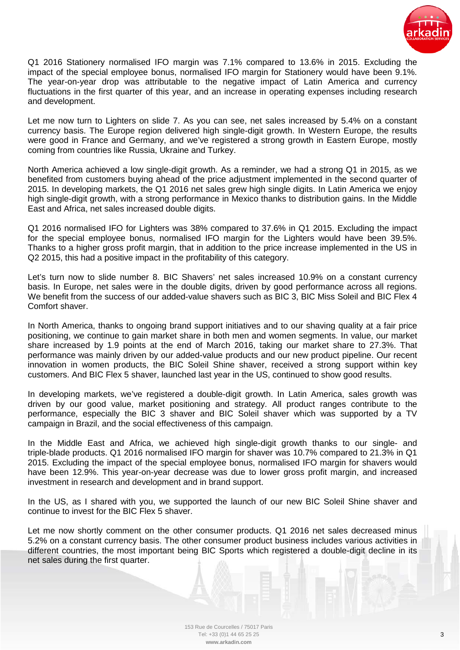

Q1 2016 Stationery normalised IFO margin was 7.1% compared to 13.6% in 2015. Excluding the impact of the special employee bonus, normalised IFO margin for Stationery would have been 9.1%. The year-on-year drop was attributable to the negative impact of Latin America and currency fluctuations in the first quarter of this year, and an increase in operating expenses including research and development.

Let me now turn to Lighters on slide 7. As you can see, net sales increased by 5.4% on a constant currency basis. The Europe region delivered high single-digit growth. In Western Europe, the results were good in France and Germany, and we've registered a strong growth in Eastern Europe, mostly coming from countries like Russia, Ukraine and Turkey.

North America achieved a low single-digit growth. As a reminder, we had a strong Q1 in 2015, as we benefited from customers buying ahead of the price adjustment implemented in the second quarter of 2015. In developing markets, the Q1 2016 net sales grew high single digits. In Latin America we enjoy high single-digit growth, with a strong performance in Mexico thanks to distribution gains. In the Middle East and Africa, net sales increased double digits.

Q1 2016 normalised IFO for Lighters was 38% compared to 37.6% in Q1 2015. Excluding the impact for the special employee bonus, normalised IFO margin for the Lighters would have been 39.5%. Thanks to a higher gross profit margin, that in addition to the price increase implemented in the US in Q2 2015, this had a positive impact in the profitability of this category.

Let's turn now to slide number 8. BIC Shavers' net sales increased 10.9% on a constant currency basis. In Europe, net sales were in the double digits, driven by good performance across all regions. We benefit from the success of our added-value shavers such as BIC 3, BIC Miss Soleil and BIC Flex 4 Comfort shaver.

In North America, thanks to ongoing brand support initiatives and to our shaving quality at a fair price positioning, we continue to gain market share in both men and women segments. In value, our market share increased by 1.9 points at the end of March 2016, taking our market share to 27.3%. That performance was mainly driven by our added-value products and our new product pipeline. Our recent innovation in women products, the BIC Soleil Shine shaver, received a strong support within key customers. And BIC Flex 5 shaver, launched last year in the US, continued to show good results.

In developing markets, we've registered a double-digit growth. In Latin America, sales growth was driven by our good value, market positioning and strategy. All product ranges contribute to the performance, especially the BIC 3 shaver and BIC Soleil shaver which was supported by a TV campaign in Brazil, and the social effectiveness of this campaign.

In the Middle East and Africa, we achieved high single-digit growth thanks to our single- and triple-blade products. Q1 2016 normalised IFO margin for shaver was 10.7% compared to 21.3% in Q1 2015. Excluding the impact of the special employee bonus, normalised IFO margin for shavers would have been 12.9%. This year-on-year decrease was due to lower gross profit margin, and increased investment in research and development and in brand support.

In the US, as I shared with you, we supported the launch of our new BIC Soleil Shine shaver and continue to invest for the BIC Flex 5 shaver.

Let me now shortly comment on the other consumer products. Q1 2016 net sales decreased minus 5.2% on a constant currency basis. The other consumer product business includes various activities in different countries, the most important being BIC Sports which registered a double-digit decline in its net sales during the first quarter.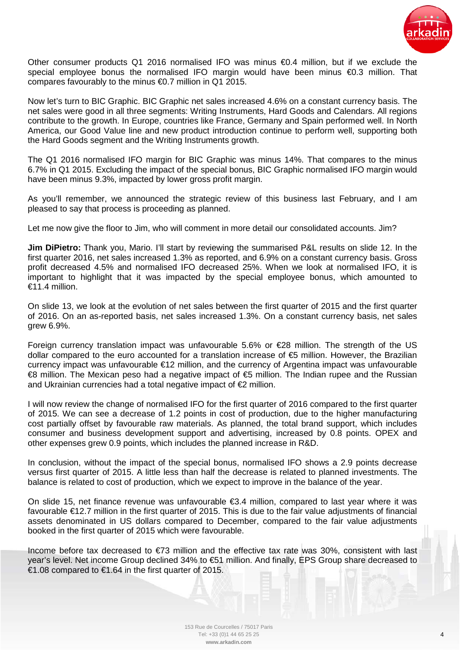

Other consumer products Q1 2016 normalised IFO was minus  $\bigoplus A$  million, but if we exclude the special employee bonus the normalised IFO margin would have been minus €0.3 million. That compares favourably to the minus €0.7 million in Q1 2015.

Now let's turn to BIC Graphic. BIC Graphic net sales increased 4.6% on a constant currency basis. The net sales were good in all three segments: Writing Instruments, Hard Goods and Calendars. All regions contribute to the growth. In Europe, countries like France, Germany and Spain performed well. In North America, our Good Value line and new product introduction continue to perform well, supporting both the Hard Goods segment and the Writing Instruments growth.

The Q1 2016 normalised IFO margin for BIC Graphic was minus 14%. That compares to the minus 6.7% in Q1 2015. Excluding the impact of the special bonus, BIC Graphic normalised IFO margin would have been minus 9.3%, impacted by lower gross profit margin.

As you'll remember, we announced the strategic review of this business last February, and I am pleased to say that process is proceeding as planned.

Let me now give the floor to Jim, who will comment in more detail our consolidated accounts. Jim?

**Jim DiPietro:** Thank you, Mario. I'll start by reviewing the summarised P&L results on slide 12. In the first quarter 2016, net sales increased 1.3% as reported, and 6.9% on a constant currency basis. Gross profit decreased 4.5% and normalised IFO decreased 25%. When we look at normalised IFO, it is important to highlight that it was impacted by the special employee bonus, which amounted to  $€11.4$  million.

On slide 13, we look at the evolution of net sales between the first quarter of 2015 and the first quarter of 2016. On an as-reported basis, net sales increased 1.3%. On a constant currency basis, net sales grew 6.9%.

Foreign currency translation impact was unfavourable 5.6% or €28 million. The strength of the US dollar compared to the euro accounted for a translation increase of €5 million. However, the Brazilian currency impact was unfavourable €12 million, and the currency of Argentina impact was unfavourable €8 million. The Mexican peso had a negative impact of €5 million. The Indian rupee and the Russian and Ukrainian currencies had a total negative impact of €2 million.

I will now review the change of normalised IFO for the first quarter of 2016 compared to the first quarter of 2015. We can see a decrease of 1.2 points in cost of production, due to the higher manufacturing cost partially offset by favourable raw materials. As planned, the total brand support, which includes consumer and business development support and advertising, increased by 0.8 points. OPEX and other expenses grew 0.9 points, which includes the planned increase in R&D.

In conclusion, without the impact of the special bonus, normalised IFO shows a 2.9 points decrease versus first quarter of 2015. A little less than half the decrease is related to planned investments. The balance is related to cost of production, which we expect to improve in the balance of the year.

On slide 15, net finance revenue was unfavourable €3.4 million, compared to last year where it was favourable €12.7 million in the first quarter of 2015. This is due to the fair value adjustments of financial assets denominated in US dollars compared to December, compared to the fair value adjustments booked in the first quarter of 2015 which were favourable.

Income before tax decreased to €73 million and the effective tax rate was 30%, consistent with last year's level. Net income Group declined 34% to €51 million. And finally, EPS Group share decreased to €1.08 compared to €1.64 in the first quarter of 2015.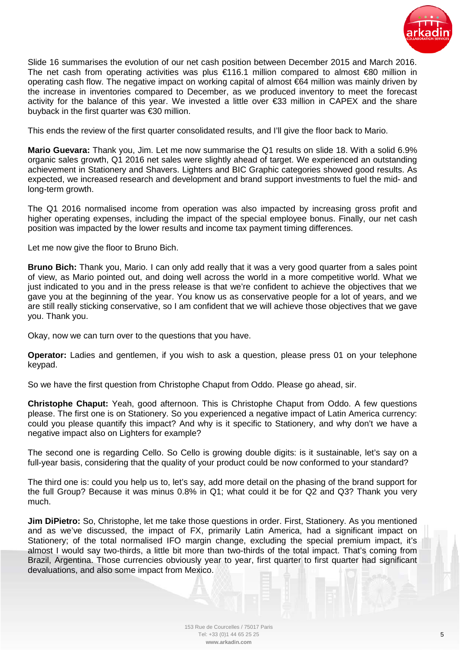

Slide 16 summarises the evolution of our net cash position between December 2015 and March 2016. The net cash from operating activities was plus €116.1 million compared to almost €80 million in operating cash flow. The negative impact on working capital of almost €64 million was mainly driven by the increase in inventories compared to December, as we produced inventory to meet the forecast activity for the balance of this year. We invested a little over €33 million in CAPEX and the share buyback in the first quarter was €30 million.

This ends the review of the first quarter consolidated results, and I'll give the floor back to Mario.

**Mario Guevara:** Thank you, Jim. Let me now summarise the Q1 results on slide 18. With a solid 6.9% organic sales growth, Q1 2016 net sales were slightly ahead of target. We experienced an outstanding achievement in Stationery and Shavers. Lighters and BIC Graphic categories showed good results. As expected, we increased research and development and brand support investments to fuel the mid- and long-term growth.

The Q1 2016 normalised income from operation was also impacted by increasing gross profit and higher operating expenses, including the impact of the special employee bonus. Finally, our net cash position was impacted by the lower results and income tax payment timing differences.

Let me now give the floor to Bruno Bich.

**Bruno Bich:** Thank you, Mario. I can only add really that it was a very good quarter from a sales point of view, as Mario pointed out, and doing well across the world in a more competitive world. What we just indicated to you and in the press release is that we're confident to achieve the objectives that we gave you at the beginning of the year. You know us as conservative people for a lot of years, and we are still really sticking conservative, so I am confident that we will achieve those objectives that we gave you. Thank you.

Okay, now we can turn over to the questions that you have.

**Operator:** Ladies and gentlemen, if you wish to ask a question, please press 01 on your telephone keypad.

So we have the first question from Christophe Chaput from Oddo. Please go ahead, sir.

**Christophe Chaput:** Yeah, good afternoon. This is Christophe Chaput from Oddo. A few questions please. The first one is on Stationery. So you experienced a negative impact of Latin America currency: could you please quantify this impact? And why is it specific to Stationery, and why don't we have a negative impact also on Lighters for example?

The second one is regarding Cello. So Cello is growing double digits: is it sustainable, let's say on a full-year basis, considering that the quality of your product could be now conformed to your standard?

The third one is: could you help us to, let's say, add more detail on the phasing of the brand support for the full Group? Because it was minus 0.8% in Q1; what could it be for Q2 and Q3? Thank you very much.

**Jim DiPietro:** So, Christophe, let me take those questions in order. First, Stationery. As you mentioned and as we've discussed, the impact of FX, primarily Latin America, had a significant impact on Stationery; of the total normalised IFO margin change, excluding the special premium impact, it's almost I would say two-thirds, a little bit more than two-thirds of the total impact. That's coming from Brazil, Argentina. Those currencies obviously year to year, first quarter to first quarter had significant devaluations, and also some impact from Mexico.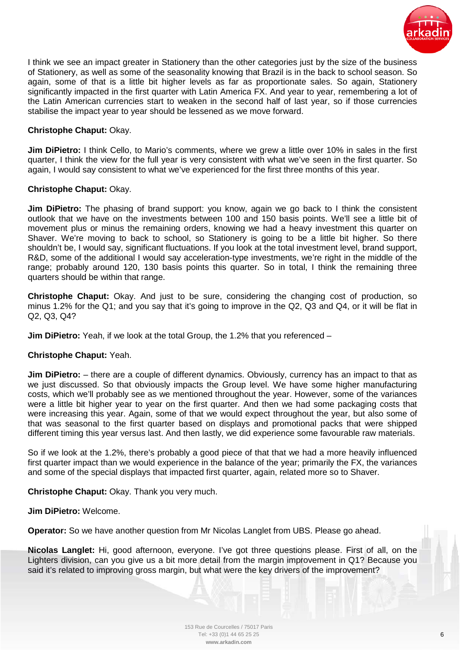

I think we see an impact greater in Stationery than the other categories just by the size of the business of Stationery, as well as some of the seasonality knowing that Brazil is in the back to school season. So again, some of that is a little bit higher levels as far as proportionate sales. So again, Stationery significantly impacted in the first quarter with Latin America FX. And year to year, remembering a lot of the Latin American currencies start to weaken in the second half of last year, so if those currencies stabilise the impact year to year should be lessened as we move forward.

## **Christophe Chaput:** Okay.

**Jim DiPietro:** I think Cello, to Mario's comments, where we grew a little over 10% in sales in the first quarter, I think the view for the full year is very consistent with what we've seen in the first quarter. So again, I would say consistent to what we've experienced for the first three months of this year.

## **Christophe Chaput:** Okay.

**Jim DiPietro:** The phasing of brand support: you know, again we go back to I think the consistent outlook that we have on the investments between 100 and 150 basis points. We'll see a little bit of movement plus or minus the remaining orders, knowing we had a heavy investment this quarter on Shaver. We're moving to back to school, so Stationery is going to be a little bit higher. So there shouldn't be, I would say, significant fluctuations. If you look at the total investment level, brand support, R&D, some of the additional I would say acceleration-type investments, we're right in the middle of the range; probably around 120, 130 basis points this quarter. So in total, I think the remaining three quarters should be within that range.

**Christophe Chaput:** Okay. And just to be sure, considering the changing cost of production, so minus 1.2% for the Q1; and you say that it's going to improve in the Q2, Q3 and Q4, or it will be flat in Q2, Q3, Q4?

**Jim DiPietro:** Yeah, if we look at the total Group, the 1.2% that you referenced –

## **Christophe Chaput:** Yeah.

**Jim DiPietro:** – there are a couple of different dynamics. Obviously, currency has an impact to that as we just discussed. So that obviously impacts the Group level. We have some higher manufacturing costs, which we'll probably see as we mentioned throughout the year. However, some of the variances were a little bit higher year to year on the first quarter. And then we had some packaging costs that were increasing this year. Again, some of that we would expect throughout the year, but also some of that was seasonal to the first quarter based on displays and promotional packs that were shipped different timing this year versus last. And then lastly, we did experience some favourable raw materials.

So if we look at the 1.2%, there's probably a good piece of that that we had a more heavily influenced first quarter impact than we would experience in the balance of the year; primarily the FX, the variances and some of the special displays that impacted first quarter, again, related more so to Shaver.

**Christophe Chaput:** Okay. Thank you very much.

## **Jim DiPietro:** Welcome.

**Operator:** So we have another question from Mr Nicolas Langlet from UBS. Please go ahead.

**Nicolas Langlet:** Hi, good afternoon, everyone. I've got three questions please. First of all, on the Lighters division, can you give us a bit more detail from the margin improvement in Q1? Because you said it's related to improving gross margin, but what were the key drivers of the improvement?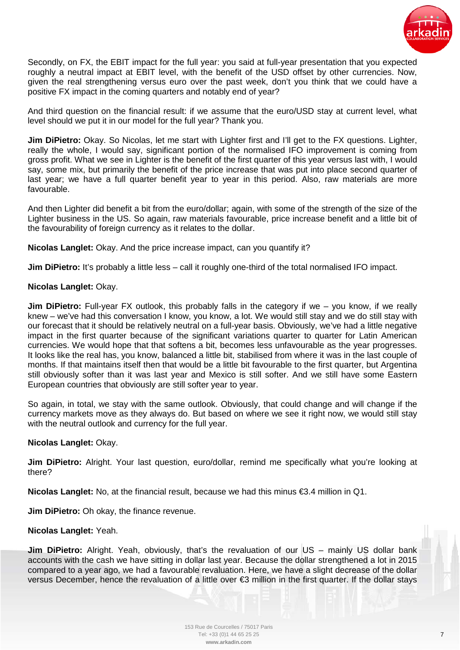

Secondly, on FX, the EBIT impact for the full year: you said at full-year presentation that you expected roughly a neutral impact at EBIT level, with the benefit of the USD offset by other currencies. Now, given the real strengthening versus euro over the past week, don't you think that we could have a positive FX impact in the coming quarters and notably end of year?

And third question on the financial result: if we assume that the euro/USD stay at current level, what level should we put it in our model for the full year? Thank you.

**Jim DiPietro:** Okay. So Nicolas, let me start with Lighter first and I'll get to the FX questions. Lighter, really the whole, I would say, significant portion of the normalised IFO improvement is coming from gross profit. What we see in Lighter is the benefit of the first quarter of this year versus last with, I would say, some mix, but primarily the benefit of the price increase that was put into place second quarter of last year; we have a full quarter benefit year to year in this period. Also, raw materials are more favourable.

And then Lighter did benefit a bit from the euro/dollar; again, with some of the strength of the size of the Lighter business in the US. So again, raw materials favourable, price increase benefit and a little bit of the favourability of foreign currency as it relates to the dollar.

**Nicolas Langlet:** Okay. And the price increase impact, can you quantify it?

**Jim DiPietro:** It's probably a little less – call it roughly one-third of the total normalised IFO impact.

#### **Nicolas Langlet:** Okay.

**Jim DiPietro:** Full-year FX outlook, this probably falls in the category if we – you know, if we really knew – we've had this conversation I know, you know, a lot. We would still stay and we do still stay with our forecast that it should be relatively neutral on a full-year basis. Obviously, we've had a little negative impact in the first quarter because of the significant variations quarter to quarter for Latin American currencies. We would hope that that softens a bit, becomes less unfavourable as the year progresses. It looks like the real has, you know, balanced a little bit, stabilised from where it was in the last couple of months. If that maintains itself then that would be a little bit favourable to the first quarter, but Argentina still obviously softer than it was last year and Mexico is still softer. And we still have some Eastern European countries that obviously are still softer year to year.

So again, in total, we stay with the same outlook. Obviously, that could change and will change if the currency markets move as they always do. But based on where we see it right now, we would still stay with the neutral outlook and currency for the full year.

#### **Nicolas Langlet:** Okay.

**Jim DiPietro:** Alright. Your last question, euro/dollar, remind me specifically what you're looking at there?

**Nicolas Langlet:** No, at the financial result, because we had this minus €3.4 million in Q1.

**Jim DiPietro:** Oh okay, the finance revenue.

#### **Nicolas Langlet:** Yeah.

**Jim DiPietro:** Alright. Yeah, obviously, that's the revaluation of our US – mainly US dollar bank accounts with the cash we have sitting in dollar last year. Because the dollar strengthened a lot in 2015 compared to a year ago, we had a favourable revaluation. Here, we have a slight decrease of the dollar versus December, hence the revaluation of a little over €3 million in the first quarter. If the dollar stays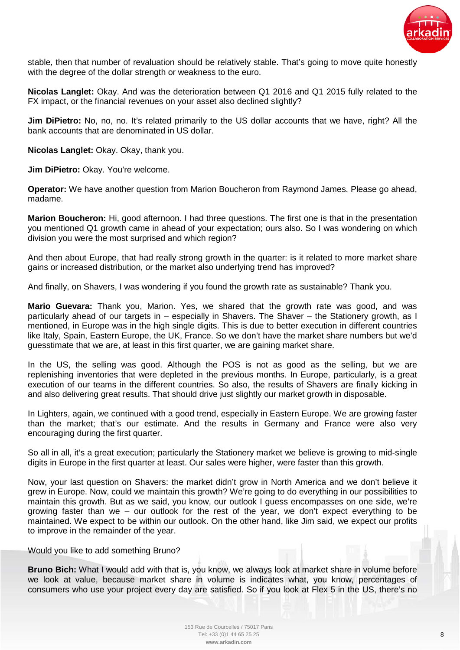

stable, then that number of revaluation should be relatively stable. That's going to move quite honestly with the degree of the dollar strength or weakness to the euro.

**Nicolas Langlet:** Okay. And was the deterioration between Q1 2016 and Q1 2015 fully related to the FX impact, or the financial revenues on your asset also declined slightly?

**Jim DiPietro:** No, no, no. It's related primarily to the US dollar accounts that we have, right? All the bank accounts that are denominated in US dollar.

**Nicolas Langlet:** Okay. Okay, thank you.

**Jim DiPietro:** Okay. You're welcome.

**Operator:** We have another question from Marion Boucheron from Raymond James. Please go ahead, madame.

**Marion Boucheron:** Hi, good afternoon. I had three questions. The first one is that in the presentation you mentioned Q1 growth came in ahead of your expectation; ours also. So I was wondering on which division you were the most surprised and which region?

And then about Europe, that had really strong growth in the quarter: is it related to more market share gains or increased distribution, or the market also underlying trend has improved?

And finally, on Shavers, I was wondering if you found the growth rate as sustainable? Thank you.

**Mario Guevara:** Thank you, Marion. Yes, we shared that the growth rate was good, and was particularly ahead of our targets in – especially in Shavers. The Shaver – the Stationery growth, as I mentioned, in Europe was in the high single digits. This is due to better execution in different countries like Italy, Spain, Eastern Europe, the UK, France. So we don't have the market share numbers but we'd guesstimate that we are, at least in this first quarter, we are gaining market share.

In the US, the selling was good. Although the POS is not as good as the selling, but we are replenishing inventories that were depleted in the previous months. In Europe, particularly, is a great execution of our teams in the different countries. So also, the results of Shavers are finally kicking in and also delivering great results. That should drive just slightly our market growth in disposable.

In Lighters, again, we continued with a good trend, especially in Eastern Europe. We are growing faster than the market; that's our estimate. And the results in Germany and France were also very encouraging during the first quarter.

So all in all, it's a great execution; particularly the Stationery market we believe is growing to mid-single digits in Europe in the first quarter at least. Our sales were higher, were faster than this growth.

Now, your last question on Shavers: the market didn't grow in North America and we don't believe it grew in Europe. Now, could we maintain this growth? We're going to do everything in our possibilities to maintain this growth. But as we said, you know, our outlook I guess encompasses on one side, we're growing faster than we – our outlook for the rest of the year, we don't expect everything to be maintained. We expect to be within our outlook. On the other hand, like Jim said, we expect our profits to improve in the remainder of the year.

Would you like to add something Bruno?

**Bruno Bich:** What I would add with that is, you know, we always look at market share in volume before we look at value, because market share in volume is indicates what, you know, percentages of consumers who use your project every day are satisfied. So if you look at Flex 5 in the US, there's no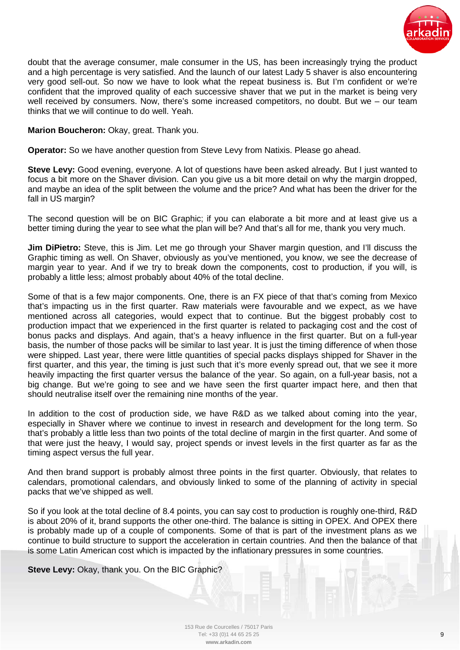

doubt that the average consumer, male consumer in the US, has been increasingly trying the product and a high percentage is very satisfied. And the launch of our latest Lady 5 shaver is also encountering very good sell-out. So now we have to look what the repeat business is. But I'm confident or we're confident that the improved quality of each successive shaver that we put in the market is being very well received by consumers. Now, there's some increased competitors, no doubt. But we – our team thinks that we will continue to do well. Yeah.

## **Marion Boucheron:** Okay, great. Thank you.

**Operator:** So we have another question from Steve Levy from Natixis. Please go ahead.

**Steve Levy:** Good evening, everyone. A lot of questions have been asked already. But I just wanted to focus a bit more on the Shaver division. Can you give us a bit more detail on why the margin dropped, and maybe an idea of the split between the volume and the price? And what has been the driver for the fall in US margin?

The second question will be on BIC Graphic; if you can elaborate a bit more and at least give us a better timing during the year to see what the plan will be? And that's all for me, thank you very much.

**Jim DiPietro:** Steve, this is Jim. Let me go through your Shaver margin question, and I'll discuss the Graphic timing as well. On Shaver, obviously as you've mentioned, you know, we see the decrease of margin year to year. And if we try to break down the components, cost to production, if you will, is probably a little less; almost probably about 40% of the total decline.

Some of that is a few major components. One, there is an FX piece of that that's coming from Mexico that's impacting us in the first quarter. Raw materials were favourable and we expect, as we have mentioned across all categories, would expect that to continue. But the biggest probably cost to production impact that we experienced in the first quarter is related to packaging cost and the cost of bonus packs and displays. And again, that's a heavy influence in the first quarter. But on a full-year basis, the number of those packs will be similar to last year. It is just the timing difference of when those were shipped. Last year, there were little quantities of special packs displays shipped for Shaver in the first quarter, and this year, the timing is just such that it's more evenly spread out, that we see it more heavily impacting the first quarter versus the balance of the year. So again, on a full-year basis, not a big change. But we're going to see and we have seen the first quarter impact here, and then that should neutralise itself over the remaining nine months of the year.

In addition to the cost of production side, we have R&D as we talked about coming into the year, especially in Shaver where we continue to invest in research and development for the long term. So that's probably a little less than two points of the total decline of margin in the first quarter. And some of that were just the heavy, I would say, project spends or invest levels in the first quarter as far as the timing aspect versus the full year.

And then brand support is probably almost three points in the first quarter. Obviously, that relates to calendars, promotional calendars, and obviously linked to some of the planning of activity in special packs that we've shipped as well.

So if you look at the total decline of 8.4 points, you can say cost to production is roughly one-third, R&D is about 20% of it, brand supports the other one-third. The balance is sitting in OPEX. And OPEX there is probably made up of a couple of components. Some of that is part of the investment plans as we continue to build structure to support the acceleration in certain countries. And then the balance of that is some Latin American cost which is impacted by the inflationary pressures in some countries.

**Steve Levy:** Okay, thank you. On the BIC Graphic?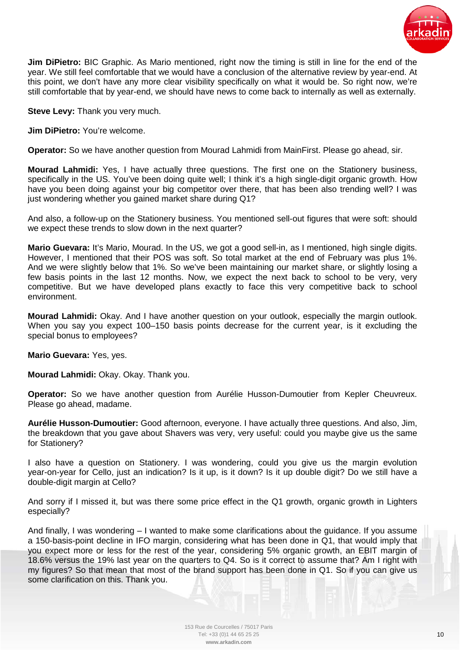

**Jim DiPietro:** BIC Graphic. As Mario mentioned, right now the timing is still in line for the end of the year. We still feel comfortable that we would have a conclusion of the alternative review by year-end. At this point, we don't have any more clear visibility specifically on what it would be. So right now, we're still comfortable that by year-end, we should have news to come back to internally as well as externally.

**Steve Levy:** Thank you very much.

**Jim DiPietro:** You're welcome.

**Operator:** So we have another question from Mourad Lahmidi from MainFirst. Please go ahead, sir.

**Mourad Lahmidi:** Yes, I have actually three questions. The first one on the Stationery business, specifically in the US. You've been doing quite well; I think it's a high single-digit organic growth. How have you been doing against your big competitor over there, that has been also trending well? I was just wondering whether you gained market share during Q1?

And also, a follow-up on the Stationery business. You mentioned sell-out figures that were soft: should we expect these trends to slow down in the next quarter?

**Mario Guevara:** It's Mario, Mourad. In the US, we got a good sell-in, as I mentioned, high single digits. However, I mentioned that their POS was soft. So total market at the end of February was plus 1%. And we were slightly below that 1%. So we've been maintaining our market share, or slightly losing a few basis points in the last 12 months. Now, we expect the next back to school to be very, very competitive. But we have developed plans exactly to face this very competitive back to school environment.

**Mourad Lahmidi:** Okay. And I have another question on your outlook, especially the margin outlook. When you say you expect 100–150 basis points decrease for the current year, is it excluding the special bonus to employees?

**Mario Guevara:** Yes, yes.

**Mourad Lahmidi:** Okay. Okay. Thank you.

**Operator:** So we have another question from Aurélie Husson-Dumoutier from Kepler Cheuvreux. Please go ahead, madame.

**Aurélie Husson-Dumoutier:** Good afternoon, everyone. I have actually three questions. And also, Jim, the breakdown that you gave about Shavers was very, very useful: could you maybe give us the same for Stationery?

I also have a question on Stationery. I was wondering, could you give us the margin evolution year-on-year for Cello, just an indication? Is it up, is it down? Is it up double digit? Do we still have a double-digit margin at Cello?

And sorry if I missed it, but was there some price effect in the Q1 growth, organic growth in Lighters especially?

And finally, I was wondering – I wanted to make some clarifications about the guidance. If you assume a 150-basis-point decline in IFO margin, considering what has been done in Q1, that would imply that you expect more or less for the rest of the year, considering 5% organic growth, an EBIT margin of 18.6% versus the 19% last year on the quarters to Q4. So is it correct to assume that? Am I right with my figures? So that mean that most of the brand support has been done in Q1. So if you can give us some clarification on this. Thank you.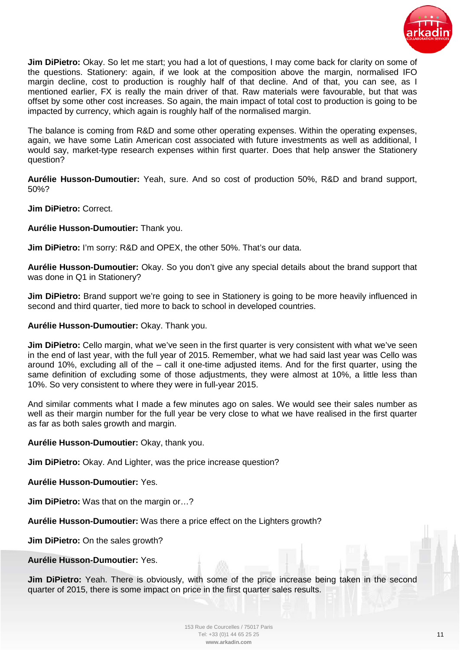

**Jim DiPietro:** Okay. So let me start; you had a lot of questions, I may come back for clarity on some of the questions. Stationery: again, if we look at the composition above the margin, normalised IFO margin decline, cost to production is roughly half of that decline. And of that, you can see, as I mentioned earlier, FX is really the main driver of that. Raw materials were favourable, but that was offset by some other cost increases. So again, the main impact of total cost to production is going to be impacted by currency, which again is roughly half of the normalised margin.

The balance is coming from R&D and some other operating expenses. Within the operating expenses, again, we have some Latin American cost associated with future investments as well as additional, I would say, market-type research expenses within first quarter. Does that help answer the Stationery question?

**Aurélie Husson-Dumoutier:** Yeah, sure. And so cost of production 50%, R&D and brand support, 50%?

**Jim DiPietro:** Correct.

**Aurélie Husson-Dumoutier:** Thank you.

**Jim DiPietro:** I'm sorry: R&D and OPEX, the other 50%. That's our data.

**Aurélie Husson-Dumoutier:** Okay. So you don't give any special details about the brand support that was done in Q1 in Stationery?

**Jim DiPietro:** Brand support we're going to see in Stationery is going to be more heavily influenced in second and third quarter, tied more to back to school in developed countries.

**Aurélie Husson-Dumoutier:** Okay. Thank you.

**Jim DiPietro:** Cello margin, what we've seen in the first quarter is very consistent with what we've seen in the end of last year, with the full year of 2015. Remember, what we had said last year was Cello was around 10%, excluding all of the – call it one-time adjusted items. And for the first quarter, using the same definition of excluding some of those adjustments, they were almost at 10%, a little less than 10%. So very consistent to where they were in full-year 2015.

And similar comments what I made a few minutes ago on sales. We would see their sales number as well as their margin number for the full year be very close to what we have realised in the first quarter as far as both sales growth and margin.

**Aurélie Husson-Dumoutier:** Okay, thank you.

**Jim DiPietro:** Okay. And Lighter, was the price increase question?

**Aurélie Husson-Dumoutier:** Yes.

**Jim DiPietro:** Was that on the margin or…?

**Aurélie Husson-Dumoutier:** Was there a price effect on the Lighters growth?

**Jim DiPietro:** On the sales growth?

**Aurélie Husson-Dumoutier:** Yes.

**Jim DiPietro:** Yeah. There is obviously, with some of the price increase being taken in the second quarter of 2015, there is some impact on price in the first quarter sales results.